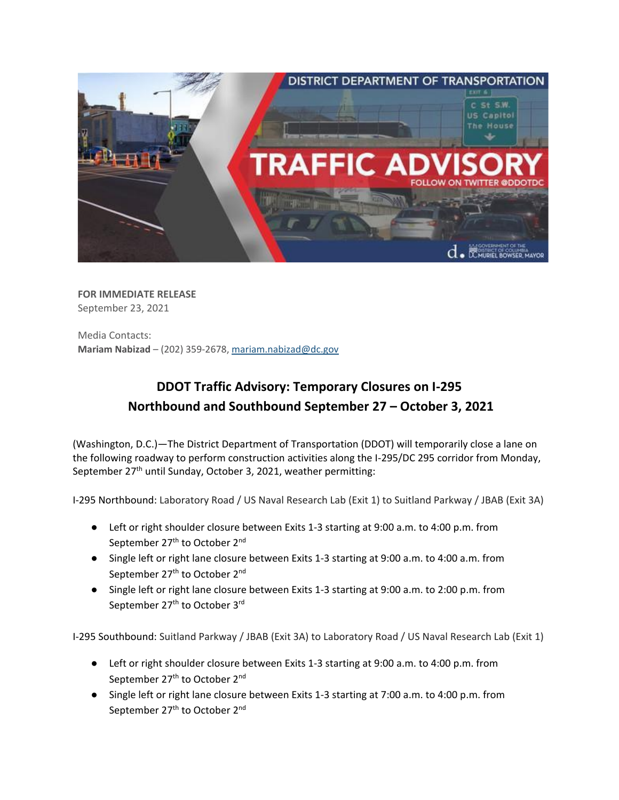

**FOR IMMEDIATE RELEASE** September 23, 2021

Media Contacts: **Mariam Nabizad** – (202) 359-2678, [mariam.nabizad@dc.gov](mailto:mariam.nabizad@dc.gov)

## **DDOT Traffic Advisory: Temporary Closures on I-295 Northbound and Southbound September 27 – October 3, 2021**

(Washington, D.C.)—The District Department of Transportation (DDOT) will temporarily close a lane on the following roadway to perform construction activities along the I-295/DC 295 corridor from Monday, September 27<sup>th</sup> until Sunday, October 3, 2021, weather permitting:

I-295 Northbound: Laboratory Road / US Naval Research Lab (Exit 1) to Suitland Parkway / JBAB (Exit 3A)

- Left or right shoulder closure between Exits 1-3 starting at 9:00 a.m. to 4:00 p.m. from September 27<sup>th</sup> to October 2<sup>nd</sup>
- Single left or right lane closure between Exits 1-3 starting at 9:00 a.m. to 4:00 a.m. from September 27<sup>th</sup> to October 2<sup>nd</sup>
- Single left or right lane closure between Exits 1-3 starting at 9:00 a.m. to 2:00 p.m. from September 27<sup>th</sup> to October 3<sup>rd</sup>

I-295 Southbound: Suitland Parkway / JBAB (Exit 3A) to Laboratory Road / US Naval Research Lab (Exit 1)

- Left or right shoulder closure between Exits 1-3 starting at 9:00 a.m. to 4:00 p.m. from September 27<sup>th</sup> to October 2<sup>nd</sup>
- Single left or right lane closure between Exits 1-3 starting at 7:00 a.m. to 4:00 p.m. from September 27<sup>th</sup> to October 2<sup>nd</sup>